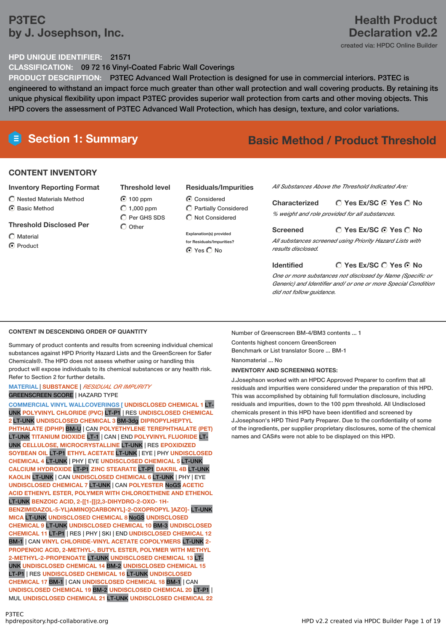# **P3TEC by J. Josephson, Inc.**

# **Health Product Declaration v2.2**

created via: HPDC Online Builder

## **HPD UNIQUE IDENTIFIER:** 21571

**CLASSIFICATION:** 09 72 16 Vinyl-Coated Fabric Wall Coverings

**PRODUCT DESCRIPTION:** P3TEC Advanced Wall Protection is designed for use in commercial interiors. P3TEC is engineered to withstand an impact force much greater than other wall protection and wall covering products. By retaining its unique physical flexibility upon impact P3TEC provides superior wall protection from carts and other moving objects. This HPD covers the assessment of P3TEC Advanced Wall Protection, which has design, texture, and color variations.

# **Section 1: Summary Basic Method / Product Threshold**

# **CONTENT INVENTORY**

## **Inventory Reporting Format**

- $\bigcirc$  Nested Materials Method C Basic Method
- **Threshold Disclosed Per**
- Material
- C Product

# **Threshold level**

◯ 100 ppm  $O$  1,000 ppm  $\bigcap$  Per GHS SDS  $\bigcirc$  Other

### **Residuals/Impurities**

- **C** Considered Partially Considered  $\bigcap$  Not Considered
- **Explanation(s) provided for Residuals/Impurities?** ⊙ Yes O No

*All Substances Above the Threshold Indicated Are:*

**Yes Ex/SC Yes No Characterized** *% weight and role provided for all substances.*

### **Yes Ex/SC Yes No Screened** *All substances screened using Priority Hazard Lists with results disclosed.*

### **Identified**

**Yes Ex/SC Yes No**

*One or more substances not disclosed by Name (Specific or Generic) and Identifier and/ or one or more Special Condition did not follow guidance.*

# **CONTENT IN DESCENDING ORDER OF QUANTITY**

Summary of product contents and results from screening individual chemical substances against HPD Priority Hazard Lists and the GreenScreen for Safer Chemicals®. The HPD does not assess whether using or handling this product will expose individuals to its chemical substances or any health risk. Refer to Section 2 for further details.

### **MATERIAL** | **SUBSTANCE** | *RESIDUAL OR IMPURITY* GREENSCREEN SCORE | HAZARD TYPE

**COMMERCIAL VINYL WALLCOVERINGS [ UNDISCLOSED CHEMICAL 1** LT-UNK **POLYVINYL CHLORIDE (PVC)** LT-P1 | RES **UNDISCLOSED CHEMICAL 2** LT-UNK **UNDISCLOSED CHEMICAL 3** BM-3dg **DIPROPYLHEPTYL PHTHALATE (DPHP)** BM-U | CAN **POLYETHYLENE TEREPHTHALATE (PET)** LT-UNK **TITANIUM DIOXIDE** LT-1 | CAN | END **POLYVINYL FLUORIDE** LT-UNK **CELLULOSE, MICROCRYSTALLINE** LT-UNK | RES **EPOXIDIZED SOYBEAN OIL** LT-P1 **ETHYL ACETATE** LT-UNK | EYE | PHY **UNDISCLOSED CHEMICAL 4** LT-UNK | PHY | EYE **UNDISCLOSED CHEMICAL 5** LT-UNK **CALCIUM HYDROXIDE** LT-P1 **ZINC STEARATE** LT-P1 **DAKRIL 4B** LT-UNK **KAOLIN** LT-UNK | CAN **UNDISCLOSED CHEMICAL 6** LT-UNK | PHY | EYE **UNDISCLOSED CHEMICAL 7** LT-UNK | CAN **POLYESTER** NoGS **ACETIC ACID ETHENYL ESTER, POLYMER WITH CHLOROETHENE AND ETHENOL** LT-UNK **BENZOIC ACID, 2-[[1-[[(2,3-DIHYDRO-2-OXO- 1H-BENZIMIDAZOL-5-YL)AMINO]CARBONYL]-2-OXOPROPYL ]AZO]-** LT-UNK **MICA** LT-UNK **UNDISCLOSED CHEMICAL 8** NoGS **UNDISCLOSED CHEMICAL 9** LT-UNK **UNDISCLOSED CHEMICAL 10** BM-3 **UNDISCLOSED CHEMICAL 11** LT-P1 | RES | PHY | SKI | END **UNDISCLOSED CHEMICAL 12** BM-1 | CAN **VINYL CHLORIDE-VINYL ACETATE COPOLYMERS** LT-UNK **2- PROPENOIC ACID, 2-METHYL-, BUTYL ESTER, POLYMER WITH METHYL 2-METHYL-2-PROPENOATE** LT-UNK **UNDISCLOSED CHEMICAL 13** LT-UNK **UNDISCLOSED CHEMICAL 14** BM-2 **UNDISCLOSED CHEMICAL 15** LT-P1 | RES **UNDISCLOSED CHEMICAL 16** LT-UNK **UNDISCLOSED CHEMICAL 17** BM-1 | CAN **UNDISCLOSED CHEMICAL 18** BM-1 | CAN **UNDISCLOSED CHEMICAL 19** BM-2 **UNDISCLOSED CHEMICAL 20** LT-P1 | MUL **UNDISCLOSED CHEMICAL 21** LT-UNK **UNDISCLOSED CHEMICAL 22**

Number of Greenscreen BM-4/BM3 contents ... 1

Contents highest concern GreenScreen Benchmark or List translator Score ... BM-1 Nanomaterial ... No

## **INVENTORY AND SCREENING NOTES:**

J.Josephson worked with an HPDC Approved Preparer to confirm that all residuals and impurities were considered under the preparation of this HPD. This was accomplished by obtaining full formulation disclosure, including residuals and impurities, down to the 100 ppm threshold. All Undisclosed chemicals present in this HPD have been identified and screened by J.Josephson's HPD Third Party Preparer. Due to the confidentiality of some of the ingredients, per supplier proprietary disclosures, some of the chemical names and CAS#s were not able to be displayed on this HPD.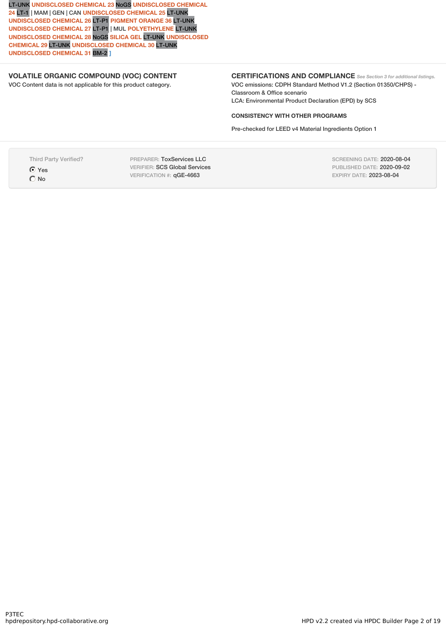LT-UNK **UNDISCLOSED CHEMICAL 23** NoGS **UNDISCLOSED CHEMICAL 24** LT-1 | MAM | GEN | CAN **UNDISCLOSED CHEMICAL 25** LT-UNK **UNDISCLOSED CHEMICAL 26** LT-P1 **PIGMENT ORANGE 36** LT-UNK **UNDISCLOSED CHEMICAL 27** LT-P1 | MUL **POLYETHYLENE** LT-UNK **UNDISCLOSED CHEMICAL 28** NoGS **SILICA GEL** LT-UNK **UNDISCLOSED CHEMICAL 29** LT-UNK **UNDISCLOSED CHEMICAL 30** LT-UNK **UNDISCLOSED CHEMICAL 31** BM-2 **]**

### **VOLATILE ORGANIC COMPOUND (VOC) CONTENT**

VOC Content data is not applicable for this product category.

## **CERTIFICATIONS AND COMPLIANCE** *See Section <sup>3</sup> for additional listings.*

VOC emissions: CDPH Standard Method V1.2 (Section 01350/CHPS) - Classroom & Office scenario LCA: Environmental Product Declaration (EPD) by SCS

### **CONSISTENCY WITH OTHER PROGRAMS**

Pre-checked for LEED v4 Material Ingredients Option 1

Third Party Verified?

**G** Yes  $O$  No

PREPARER: ToxServices LLC VERIFIER: SCS Global Services VERIFICATION #: qGE-4663

SCREENING DATE: 2020-08-04 PUBLISHED DATE: 2020-09-02 EXPIRY DATE: 2023-08-04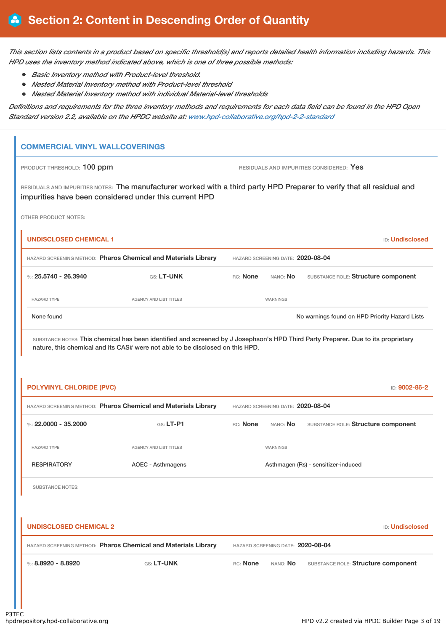This section lists contents in a product based on specific threshold(s) and reports detailed health information including hazards. This *HPD uses the inventory method indicated above, which is one of three possible methods:*

- *Basic Inventory method with Product-level threshold.*
- *Nested Material Inventory method with Product-level threshold*
- *Nested Material Inventory method with individual Material-level thresholds*

Definitions and requirements for the three inventory methods and requirements for each data field can be found in the HPD Open *Standard version 2.2, available on the HPDC website at: www.hpd-collaborative.org/hpd-2-2-standard*

## **COMMERCIAL VINYL WALLCOVERINGS**

PRODUCT THRESHOLD: 100 ppm **RESIDUALS** AND IMPURITIES CONSIDERED: Yes

RESIDUALS AND IMPURITIES NOTES: The manufacturer worked with a third party HPD Preparer to verify that all residual and impurities have been considered under this current HPD

OTHER PRODUCT NOTES:

| <b>UNDISCLOSED CHEMICAL 1</b>                                  |                        |                                   |                 | <b>ID:</b> Undisclosed                         |
|----------------------------------------------------------------|------------------------|-----------------------------------|-----------------|------------------------------------------------|
| HAZARD SCREENING METHOD: Pharos Chemical and Materials Library |                        | HAZARD SCREENING DATE: 2020-08-04 |                 |                                                |
| %: $25.5740 - 26.3940$                                         | <b>GS: LT-UNK</b>      | RC: None                          | NANO: No        | SUBSTANCE ROLE: Structure component            |
| <b>HAZARD TYPE</b>                                             | AGENCY AND LIST TITLES |                                   | <b>WARNINGS</b> |                                                |
| None found                                                     |                        |                                   |                 | No warnings found on HPD Priority Hazard Lists |

| <b>POLYVINYL CHLORIDE (PVC)</b> |                                                                | ID: 9002-86-2                                                      |
|---------------------------------|----------------------------------------------------------------|--------------------------------------------------------------------|
|                                 | HAZARD SCREENING METHOD: Pharos Chemical and Materials Library | HAZARD SCREENING DATE: 2020-08-04                                  |
| %: $22,0000 - 35,2000$          | $GS: LT-PI$                                                    | RC: None<br>nano: <b>No</b><br>SUBSTANCE ROLE: Structure component |
| <b>HAZARD TYPE</b>              | <b>AGENCY AND LIST TITLES</b>                                  | WARNINGS                                                           |
| <b>RESPIRATORY</b>              | <b>AOEC - Asthmagens</b>                                       | Asthmagen (Rs) - sensitizer-induced                                |
| <b>SUBSTANCE NOTES:</b>         |                                                                |                                                                    |
|                                 |                                                                |                                                                    |
| <b>UNDISCLOSED CHEMICAL 2</b>   |                                                                | <b>ID: Undisclosed</b>                                             |
|                                 | HAZARD SCREENING METHOD: Pharos Chemical and Materials Library | HAZARD SCREENING DATE: 2020-08-04                                  |
| %: 8.8920 - 8.8920              | GS: LT-UNK                                                     | RC: None<br>NANO: <b>No</b><br>SUBSTANCE ROLE: Structure component |
|                                 |                                                                |                                                                    |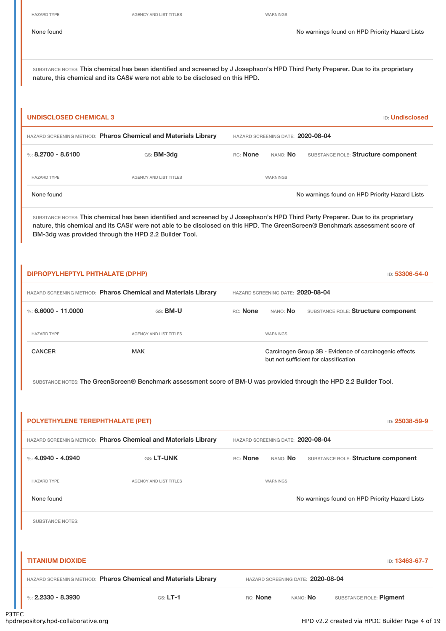HAZARD TYPE **AGENCY AND LIST TITLES** WARNINGS

SUBSTANCE NOTES: This chemical has been identified and screened by J Josephson's HPD Third Party Preparer. Due to its proprietary nature, this chemical and its CAS# were not able to be disclosed on this HPD.

| UNDISCLOSED CHEMICAL 3                                         |                        |                                   | <b>ID:</b> Undisclosed |                                                |
|----------------------------------------------------------------|------------------------|-----------------------------------|------------------------|------------------------------------------------|
| HAZARD SCREENING METHOD: Pharos Chemical and Materials Library |                        | HAZARD SCREENING DATE: 2020-08-04 |                        |                                                |
| %: $8.2700 - 8.6100$                                           | GS: <b>BM-3dg</b>      | RC: None                          | NANO: <b>No</b>        | SUBSTANCE ROLE: Structure component            |
| <b>HAZARD TYPE</b>                                             | AGENCY AND LIST TITLES |                                   | WARNINGS               |                                                |
| None found                                                     |                        |                                   |                        | No warnings found on HPD Priority Hazard Lists |

SUBSTANCE NOTES: This chemical has been identified and screened by J Josephson's HPD Third Party Preparer. Due to its proprietary nature, this chemical and its CAS# were not able to be disclosed on this HPD. The GreenScreen® Benchmark assessment score of BM-3dg was provided through the HPD 2.2 Builder Tool.

| DIPROPYLHEPTYL PHTHALATE (DPHP) |                                                                |          |                                   | ID: 53306-54-0                                                                                  |
|---------------------------------|----------------------------------------------------------------|----------|-----------------------------------|-------------------------------------------------------------------------------------------------|
|                                 | HAZARD SCREENING METHOD: Pharos Chemical and Materials Library |          | HAZARD SCREENING DATE: 2020-08-04 |                                                                                                 |
| %: 6.6000 - 11.0000             | GS: <b>BM-U</b>                                                | RC: None | NANO: <b>No</b>                   | SUBSTANCE ROLE: Structure component                                                             |
| <b>HAZARD TYPE</b>              | AGENCY AND LIST TITLES                                         |          | <b>WARNINGS</b>                   |                                                                                                 |
| <b>CANCER</b>                   | <b>MAK</b>                                                     |          |                                   | Carcinogen Group 3B - Evidence of carcinogenic effects<br>but not sufficient for classification |

SUBSTANCE NOTES: The GreenScreen® Benchmark assessment score of BM-U was provided through the HPD 2.2 Builder Tool.

| POLYETHYLENE TEREPHTHALATE (PET) |                                                                | ID: 25038-59-9                                              |
|----------------------------------|----------------------------------------------------------------|-------------------------------------------------------------|
|                                  | HAZARD SCREENING METHOD: Pharos Chemical and Materials Library | HAZARD SCREENING DATE: 2020-08-04                           |
| %: $4.0940 - 4.0940$             | GS: LT-UNK                                                     | RC: None<br>NANO: No<br>SUBSTANCE ROLE: Structure component |
| <b>HAZARD TYPE</b>               | <b>AGENCY AND LIST TITLES</b>                                  | WARNINGS                                                    |
| None found                       |                                                                | No warnings found on HPD Priority Hazard Lists              |
| <b>SUBSTANCE NOTES:</b>          |                                                                |                                                             |
|                                  |                                                                |                                                             |
| <b>TITANIUM DIOXIDE</b>          |                                                                | ID: 13463-67-7                                              |
|                                  | HAZARD SCREENING METHOD: Pharos Chemical and Materials Library | HAZARD SCREENING DATE: 2020-08-04                           |
| %: $2.2330 - 8.3930$             | $GS: LT-1$                                                     | RC: None<br>NANO: No<br>SUBSTANCE ROLE: Pigment             |
|                                  |                                                                |                                                             |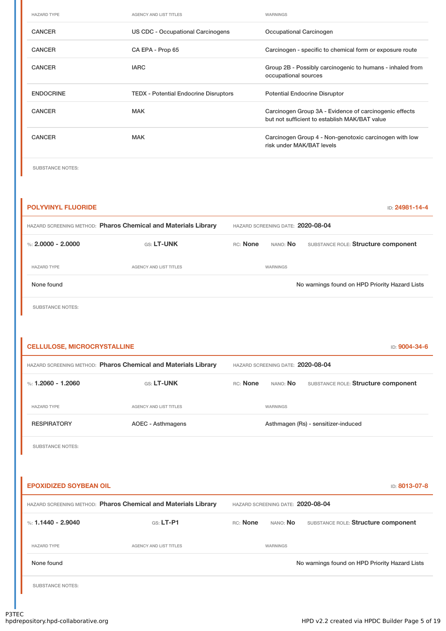| <b>HAZARD TYPE</b> | AGENCY AND LIST TITLES                       | WARNINGS                                                                                                |
|--------------------|----------------------------------------------|---------------------------------------------------------------------------------------------------------|
| <b>CANCER</b>      | US CDC - Occupational Carcinogens            | Occupational Carcinogen                                                                                 |
| <b>CANCER</b>      | CA EPA - Prop 65                             | Carcinogen - specific to chemical form or exposure route                                                |
| <b>CANCER</b>      | <b>IARC</b>                                  | Group 2B - Possibly carcinogenic to humans - inhaled from<br>occupational sources                       |
| <b>ENDOCRINE</b>   | <b>TEDX - Potential Endocrine Disruptors</b> | <b>Potential Endocrine Disruptor</b>                                                                    |
| <b>CANCER</b>      | <b>MAK</b>                                   | Carcinogen Group 3A - Evidence of carcinogenic effects<br>but not sufficient to establish MAK/BAT value |
| <b>CANCER</b>      | MAK                                          | Carcinogen Group 4 - Non-genotoxic carcinogen with low<br>risk under MAK/BAT levels                     |
|                    |                                              |                                                                                                         |

SUBSTANCE NOTES:

| <b>POLYVINYL FLUORIDE</b> |                                                                |          |                                   | ID: 24981-14-4                                 |
|---------------------------|----------------------------------------------------------------|----------|-----------------------------------|------------------------------------------------|
|                           | HAZARD SCREENING METHOD: Pharos Chemical and Materials Library |          | HAZARD SCREENING DATE: 2020-08-04 |                                                |
| %: $2.0000 - 2.0000$      | GS: LT-UNK                                                     | RC: None | NANO: <b>No</b>                   | SUBSTANCE ROLE: Structure component            |
| <b>HAZARD TYPE</b>        | AGENCY AND LIST TITLES                                         |          | WARNINGS                          |                                                |
| None found                |                                                                |          |                                   | No warnings found on HPD Priority Hazard Lists |
| <b>SUBSTANCE NOTES:</b>   |                                                                |          |                                   |                                                |

| <b>CELLULOSE, MICROCRYSTALLINE</b><br>ID: 9004-34-6 |                                                                |                                     |                                     |  |  |
|-----------------------------------------------------|----------------------------------------------------------------|-------------------------------------|-------------------------------------|--|--|
|                                                     | HAZARD SCREENING METHOD: Pharos Chemical and Materials Library | HAZARD SCREENING DATE: 2020-08-04   |                                     |  |  |
| %: 1.2060 - 1.2060                                  | GS: LT-UNK                                                     | RC: None<br>NANO: No                | SUBSTANCE ROLE: Structure component |  |  |
| <b>HAZARD TYPE</b>                                  | AGENCY AND LIST TITLES                                         | WARNINGS                            |                                     |  |  |
| <b>RESPIRATORY</b>                                  | AOEC - Asthmagens                                              | Asthmagen (Rs) - sensitizer-induced |                                     |  |  |
| <b>SUBSTANCE NOTES:</b>                             |                                                                |                                     |                                     |  |  |

**EPOXIDIZED SOYBEAN OIL** ID: **8013-07-8** HAZARD SCREENING METHOD: **Pharos Chemical and Materials Library** HAZARD SCREENING DATE: **2020-08-04** %: **1.1440 - 2.9040 GS: LT-P1** RC: None NANO: No SUBSTANCE ROLE: Structure component HAZARD TYPE AGENCY AND LIST TITLES WARNINGS None found Now arrings found No warnings found on HPD Priority Hazard Lists

SUBSTANCE NOTES: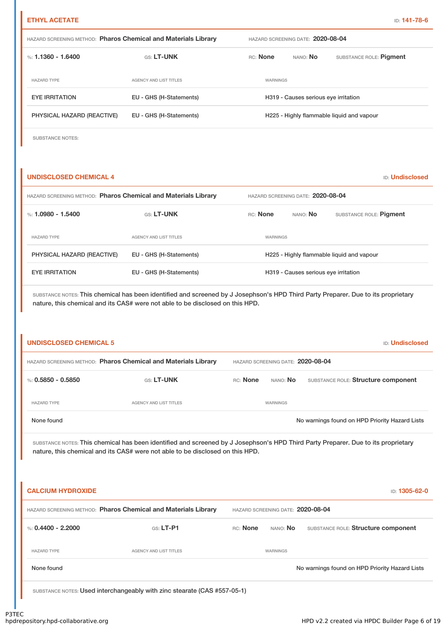| <b>HAZARD SCREENING METHOD: Pharos Chemical and Materials Library</b> |                         |          | HAZARD SCREENING DATE: 2020-08-04    |                                           |  |
|-----------------------------------------------------------------------|-------------------------|----------|--------------------------------------|-------------------------------------------|--|
| %: 1.1360 - 1.6400                                                    | <b>GS: LT-UNK</b>       | RC: None | NANO: No                             | SUBSTANCE ROLE: Pigment                   |  |
| <b>HAZARD TYPE</b>                                                    | AGENCY AND LIST TITLES  | WARNINGS |                                      |                                           |  |
| <b>EYE IRRITATION</b>                                                 | EU - GHS (H-Statements) |          | H319 - Causes serious eye irritation |                                           |  |
| PHYSICAL HAZARD (REACTIVE)                                            | EU - GHS (H-Statements) |          |                                      | H225 - Highly flammable liquid and vapour |  |

SUBSTANCE NOTES:

### **UNDISCLOSED CHEMICAL 4** ID: **Undisclosed**

| HAZARD SCREENING METHOD: Pharos Chemical and Materials Library |                         | HAZARD SCREENING DATE: 2020-08-04 |                                      |                                           |  |
|----------------------------------------------------------------|-------------------------|-----------------------------------|--------------------------------------|-------------------------------------------|--|
| %: 1.0980 - 1.5400                                             | <b>GS: LT-UNK</b>       | <b>RC:</b> None                   | NANO: No                             | SUBSTANCE ROLE: Pigment                   |  |
| <b>HAZARD TYPE</b>                                             | AGENCY AND LIST TITLES  | <b>WARNINGS</b>                   |                                      |                                           |  |
| PHYSICAL HAZARD (REACTIVE)                                     | EU - GHS (H-Statements) |                                   |                                      | H225 - Highly flammable liquid and vapour |  |
| <b>EYE IRRITATION</b>                                          | EU - GHS (H-Statements) |                                   | H319 - Causes serious eye irritation |                                           |  |

| <b>UNDISCLOSED CHEMICAL 5</b> |                                                                                                                                                                                                                    |          |                                   | <b>ID: Undisclosed</b>                         |
|-------------------------------|--------------------------------------------------------------------------------------------------------------------------------------------------------------------------------------------------------------------|----------|-----------------------------------|------------------------------------------------|
|                               | HAZARD SCREENING METHOD: Pharos Chemical and Materials Library                                                                                                                                                     |          | HAZARD SCREENING DATE: 2020-08-04 |                                                |
| %: $0.5850 - 0.5850$          | GS: LT-UNK                                                                                                                                                                                                         | RC: None | NANO: No                          | SUBSTANCE ROLE: Structure component            |
| <b>HAZARD TYPE</b>            | AGENCY AND LIST TITLES                                                                                                                                                                                             |          | WARNINGS                          |                                                |
| None found                    |                                                                                                                                                                                                                    |          |                                   | No warnings found on HPD Priority Hazard Lists |
|                               | SUBSTANCE NOTES: This chemical has been identified and screened by J Josephson's HPD Third Party Preparer. Due to its proprietary<br>nature, this chemical and its CAS# were not able to be disclosed on this HPD. |          |                                   |                                                |
| <b>CALCIUM HYDROXIDE</b>      |                                                                                                                                                                                                                    |          |                                   | ID: 1305-62-0                                  |
|                               | HAZARD SCREENING METHOD: Pharos Chemical and Materials Library                                                                                                                                                     |          | HAZARD SCREENING DATE: 2020-08-04 |                                                |
| %: $0.4400 - 2.2000$          | GS: LT-P1                                                                                                                                                                                                          | RC: None | NANO: No                          | SUBSTANCE ROLE: Structure component            |
| <b>HAZARD TYPE</b>            | AGENCY AND LIST TITLES                                                                                                                                                                                             |          | WARNINGS                          |                                                |
| None found                    |                                                                                                                                                                                                                    |          |                                   | No warnings found on HPD Priority Hazard Lists |
|                               | SUBSTANCE NOTES: Used interchangeably with zinc stearate (CAS #557-05-1)                                                                                                                                           |          |                                   |                                                |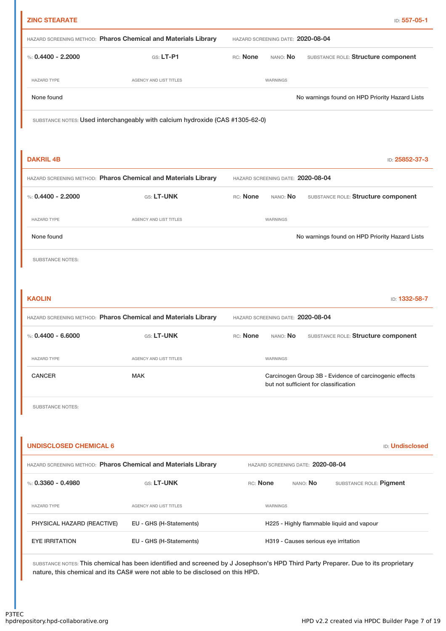| <b>ZINC STEARATE</b>          |                                                                               | ID: 557-05-1                                                                                                                      |
|-------------------------------|-------------------------------------------------------------------------------|-----------------------------------------------------------------------------------------------------------------------------------|
|                               | HAZARD SCREENING METHOD: Pharos Chemical and Materials Library                | HAZARD SCREENING DATE: 2020-08-04                                                                                                 |
| %: $0.4400 - 2.2000$          | $GS: LT-P1$                                                                   | RC: None<br>SUBSTANCE ROLE: Structure component<br>NANO: No                                                                       |
| <b>HAZARD TYPE</b>            | AGENCY AND LIST TITLES                                                        | WARNINGS                                                                                                                          |
| None found                    |                                                                               | No warnings found on HPD Priority Hazard Lists                                                                                    |
|                               | SUBSTANCE NOTES: Used interchangeably with calcium hydroxide (CAS #1305-62-0) |                                                                                                                                   |
|                               |                                                                               |                                                                                                                                   |
| <b>DAKRIL 4B</b>              |                                                                               | ID: 25852-37-3                                                                                                                    |
|                               | HAZARD SCREENING METHOD: Pharos Chemical and Materials Library                | HAZARD SCREENING DATE: 2020-08-04                                                                                                 |
| %: $0.4400 - 2.2000$          | GS: LT-UNK                                                                    | RC: None<br>NANO: No<br>SUBSTANCE ROLE: Structure component                                                                       |
| <b>HAZARD TYPE</b>            | AGENCY AND LIST TITLES                                                        | WARNINGS                                                                                                                          |
| None found                    |                                                                               | No warnings found on HPD Priority Hazard Lists                                                                                    |
| <b>SUBSTANCE NOTES:</b>       |                                                                               |                                                                                                                                   |
|                               |                                                                               |                                                                                                                                   |
| <b>KAOLIN</b>                 |                                                                               | ID: 1332-58-7                                                                                                                     |
|                               | HAZARD SCREENING METHOD: Pharos Chemical and Materials Library                | HAZARD SCREENING DATE: 2020-08-04                                                                                                 |
| %: $0.4400 - 6.6000$          | GS: LT-UNK                                                                    | RC: None<br>SUBSTANCE ROLE: Structure component<br>NANO: No                                                                       |
| <b>HAZARD TYPE</b>            | AGENCY AND LIST TITLES                                                        | WARNINGS                                                                                                                          |
| <b>CANCER</b>                 | <b>MAK</b>                                                                    | Carcinogen Group 3B - Evidence of carcinogenic effects<br>but not sufficient for classification                                   |
| <b>SUBSTANCE NOTES:</b>       |                                                                               |                                                                                                                                   |
|                               |                                                                               |                                                                                                                                   |
| <b>UNDISCLOSED CHEMICAL 6</b> |                                                                               | <b>ID: Undisclosed</b>                                                                                                            |
|                               | HAZARD SCREENING METHOD: Pharos Chemical and Materials Library                | HAZARD SCREENING DATE: 2020-08-04                                                                                                 |
| %: $0.3360 - 0.4980$          | GS: LT-UNK                                                                    | RC: None<br>SUBSTANCE ROLE: Pigment<br>NANO: <b>No</b>                                                                            |
| <b>HAZARD TYPE</b>            | AGENCY AND LIST TITLES                                                        | WARNINGS                                                                                                                          |
| PHYSICAL HAZARD (REACTIVE)    | EU - GHS (H-Statements)                                                       | H225 - Highly flammable liquid and vapour                                                                                         |
| <b>EYE IRRITATION</b>         | EU - GHS (H-Statements)                                                       | H319 - Causes serious eye irritation                                                                                              |
|                               |                                                                               | SUBSTANCE NOTES: This chemical has been identified and screened by J Josephson's HPD Third Party Preparer. Due to its proprietary |

nature, this chemical and its CAS# were not able to be disclosed on this HPD.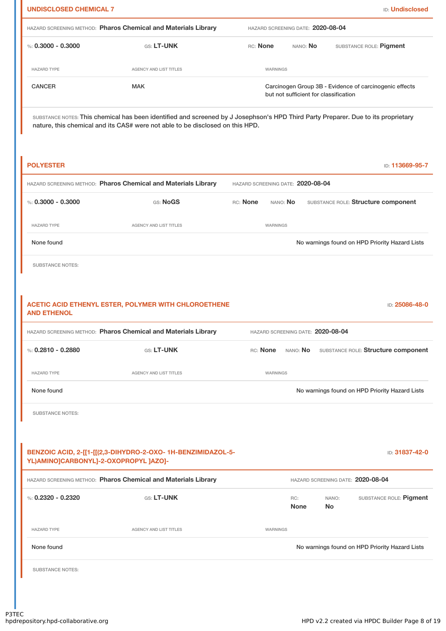| <b>UNDISCLOSED CHEMICAL 7</b> |                                                                                                       | <b>ID: Undisclosed</b>                                                                                                            |
|-------------------------------|-------------------------------------------------------------------------------------------------------|-----------------------------------------------------------------------------------------------------------------------------------|
|                               | HAZARD SCREENING METHOD: Pharos Chemical and Materials Library                                        | HAZARD SCREENING DATE: 2020-08-04                                                                                                 |
| %: $0.3000 - 0.3000$          | GS: LT-UNK                                                                                            | RC: None<br>NANO: No<br>SUBSTANCE ROLE: Pigment                                                                                   |
| <b>HAZARD TYPE</b>            | AGENCY AND LIST TITLES                                                                                | WARNINGS                                                                                                                          |
| <b>CANCER</b>                 | <b>MAK</b>                                                                                            | Carcinogen Group 3B - Evidence of carcinogenic effects<br>but not sufficient for classification                                   |
|                               | nature, this chemical and its CAS# were not able to be disclosed on this HPD.                         | SUBSTANCE NOTES: This chemical has been identified and screened by J Josephson's HPD Third Party Preparer. Due to its proprietary |
| <b>POLYESTER</b>              |                                                                                                       | ID: 113669-95-7                                                                                                                   |
|                               | HAZARD SCREENING METHOD: Pharos Chemical and Materials Library                                        | HAZARD SCREENING DATE: 2020-08-04                                                                                                 |
| %: $0.3000 - 0.3000$          | GS: NoGS                                                                                              | RC: None<br>SUBSTANCE ROLE: Structure component<br>NANO: No                                                                       |
| <b>HAZARD TYPE</b>            | AGENCY AND LIST TITLES                                                                                | WARNINGS                                                                                                                          |
| None found                    |                                                                                                       | No warnings found on HPD Priority Hazard Lists                                                                                    |
| <b>SUBSTANCE NOTES:</b>       |                                                                                                       |                                                                                                                                   |
| <b>AND ETHENOL</b>            | ACETIC ACID ETHENYL ESTER, POLYMER WITH CHLOROETHENE                                                  | ID: 25086-48-0                                                                                                                    |
|                               | HAZARD SCREENING METHOD: Pharos Chemical and Materials Library                                        | HAZARD SCREENING DATE: 2020-08-04                                                                                                 |
| %: $0.2810 - 0.2880$          | GS: LT-UNK                                                                                            | RC: None<br>NANO: No<br>SUBSTANCE ROLE: Structure component                                                                       |
| <b>HAZARD TYPE</b>            | AGENCY AND LIST TITLES                                                                                | WARNINGS                                                                                                                          |
| None found                    |                                                                                                       | No warnings found on HPD Priority Hazard Lists                                                                                    |
| <b>SUBSTANCE NOTES:</b>       |                                                                                                       |                                                                                                                                   |
|                               |                                                                                                       |                                                                                                                                   |
|                               | BENZOIC ACID, 2-[[1-[[(2,3-DIHYDRO-2-OXO- 1H-BENZIMIDAZOL-5-<br>YL)AMINO]CARBONYL]-2-OXOPROPYL ]AZO]- | ID: 31837-42-0                                                                                                                    |
|                               | HAZARD SCREENING METHOD: Pharos Chemical and Materials Library                                        | HAZARD SCREENING DATE: 2020-08-04                                                                                                 |
| %: $0.2320 - 0.2320$          | GS: LT-UNK                                                                                            | SUBSTANCE ROLE: Pigment<br>RC:<br>NANO:<br><b>None</b><br><b>No</b>                                                               |
| <b>HAZARD TYPE</b>            | <b>AGENCY AND LIST TITLES</b>                                                                         | WARNINGS                                                                                                                          |
| None found                    |                                                                                                       | No warnings found on HPD Priority Hazard Lists                                                                                    |
|                               |                                                                                                       |                                                                                                                                   |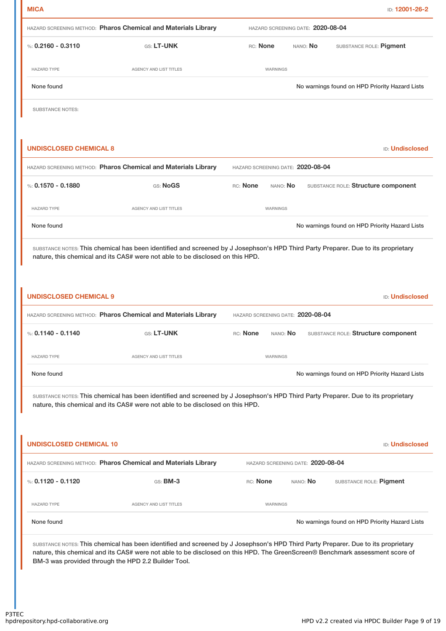|                                                                               | HAZARD SCREENING METHOD: Pharos Chemical and Materials Library                                                                                                                                                     | HAZARD SCREENING DATE: 2020-08-04 |          |  |                                                |
|-------------------------------------------------------------------------------|--------------------------------------------------------------------------------------------------------------------------------------------------------------------------------------------------------------------|-----------------------------------|----------|--|------------------------------------------------|
| %: $0.2160 - 0.3110$                                                          | GS: LT-UNK                                                                                                                                                                                                         | RC: None                          | NANO: No |  | SUBSTANCE ROLE: Pigment                        |
| <b>HAZARD TYPE</b>                                                            | AGENCY AND LIST TITLES                                                                                                                                                                                             | WARNINGS                          |          |  |                                                |
| None found                                                                    |                                                                                                                                                                                                                    |                                   |          |  | No warnings found on HPD Priority Hazard Lists |
| <b>SUBSTANCE NOTES:</b>                                                       |                                                                                                                                                                                                                    |                                   |          |  |                                                |
| <b>UNDISCLOSED CHEMICAL 8</b>                                                 |                                                                                                                                                                                                                    |                                   |          |  | <b>ID: Undisclosed</b>                         |
|                                                                               | HAZARD SCREENING METHOD: Pharos Chemical and Materials Library                                                                                                                                                     | HAZARD SCREENING DATE: 2020-08-04 |          |  |                                                |
| %: $0.1570 - 0.1880$                                                          | GS: NoGS                                                                                                                                                                                                           | RC: None<br>NANO: No              |          |  | SUBSTANCE ROLE: Structure component            |
| <b>HAZARD TYPE</b>                                                            | AGENCY AND LIST TITLES                                                                                                                                                                                             | WARNINGS                          |          |  |                                                |
| None found                                                                    |                                                                                                                                                                                                                    |                                   |          |  | No warnings found on HPD Priority Hazard Lists |
| nature, this chemical and its CAS# were not able to be disclosed on this HPD. |                                                                                                                                                                                                                    |                                   |          |  |                                                |
|                                                                               | HAZARD SCREENING METHOD: Pharos Chemical and Materials Library                                                                                                                                                     | HAZARD SCREENING DATE: 2020-08-04 |          |  | <b>ID: Undisclosed</b>                         |
|                                                                               | GS: LT-UNK                                                                                                                                                                                                         | RC: None<br>NANO: No              |          |  | SUBSTANCE ROLE: Structure component            |
| <b>HAZARD TYPE</b>                                                            | <b>AGENCY AND LIST TITLES</b>                                                                                                                                                                                      | WARNINGS                          |          |  |                                                |
| None found                                                                    |                                                                                                                                                                                                                    |                                   |          |  | No warnings found on HPD Priority Hazard Lists |
| <b>UNDISCLOSED CHEMICAL 9</b><br>%: $0.1140 - 0.1140$                         | SUBSTANCE NOTES: This chemical has been identified and screened by J Josephson's HPD Third Party Preparer. Due to its proprietary<br>nature, this chemical and its CAS# were not able to be disclosed on this HPD. |                                   |          |  |                                                |
| <b>UNDISCLOSED CHEMICAL 10</b>                                                |                                                                                                                                                                                                                    |                                   |          |  | <b>ID: Undisclosed</b>                         |
|                                                                               | HAZARD SCREENING METHOD: Pharos Chemical and Materials Library                                                                                                                                                     | HAZARD SCREENING DATE: 2020-08-04 |          |  |                                                |
|                                                                               | GS: BM-3                                                                                                                                                                                                           | RC: None                          | NANO: No |  | SUBSTANCE ROLE: Pigment                        |
| %: $0.1120 - 0.1120$<br><b>HAZARD TYPE</b>                                    | AGENCY AND LIST TITLES                                                                                                                                                                                             | WARNINGS                          |          |  |                                                |
| None found                                                                    |                                                                                                                                                                                                                    |                                   |          |  | No warnings found on HPD Priority Hazard Lists |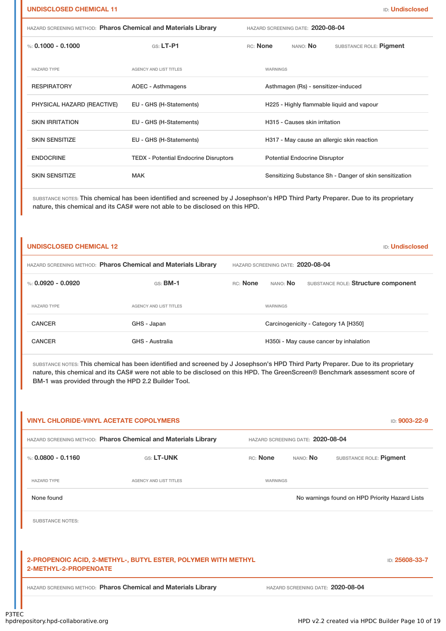| %: 0.1000 - 0.1000         | $GS: LT-P1$                                  | RC: None<br>NANO: No                                    | SUBSTANCE ROLE: Pigment |
|----------------------------|----------------------------------------------|---------------------------------------------------------|-------------------------|
| <b>HAZARD TYPE</b>         | <b>AGENCY AND LIST TITLES</b>                | WARNINGS                                                |                         |
| <b>RESPIRATORY</b>         | AOEC - Asthmagens                            | Asthmagen (Rs) - sensitizer-induced                     |                         |
| PHYSICAL HAZARD (REACTIVE) | EU - GHS (H-Statements)                      | H225 - Highly flammable liquid and vapour               |                         |
| <b>SKIN IRRITATION</b>     | EU - GHS (H-Statements)                      | H315 - Causes skin irritation                           |                         |
| <b>SKIN SENSITIZE</b>      | EU - GHS (H-Statements)                      | H317 - May cause an allergic skin reaction              |                         |
| <b>ENDOCRINE</b>           | <b>TEDX - Potential Endocrine Disruptors</b> | <b>Potential Endocrine Disruptor</b>                    |                         |
| <b>SKIN SENSITIZE</b>      | <b>MAK</b>                                   | Sensitizing Substance Sh - Danger of skin sensitization |                         |

| <b>ID: Undisclosed</b><br><b>UNDISCLOSED CHEMICAL 12</b>       |                                   |          |                 |                                        |
|----------------------------------------------------------------|-----------------------------------|----------|-----------------|----------------------------------------|
| HAZARD SCREENING METHOD: Pharos Chemical and Materials Library | HAZARD SCREENING DATE: 2020-08-04 |          |                 |                                        |
| %: $0.0920 - 0.0920$                                           | $GS:$ BM-1                        | RC: None | NANO: No        | SUBSTANCE ROLE: Structure component    |
| <b>HAZARD TYPE</b>                                             | AGENCY AND LIST TITLES            |          | <b>WARNINGS</b> |                                        |
| <b>CANCER</b>                                                  | GHS - Japan                       |          |                 | Carcinogenicity - Category 1A [H350]   |
| <b>CANCER</b>                                                  | GHS - Australia                   |          |                 | H350i - May cause cancer by inhalation |

SUBSTANCE NOTES: This chemical has been identified and screened by J Josephson's HPD Third Party Preparer. Due to its proprietary nature, this chemical and its CAS# were not able to be disclosed on this HPD. The GreenScreen® Benchmark assessment score of BM-1 was provided through the HPD 2.2 Builder Tool.

|                         | <b>VINYL CHLORIDE-VINYL ACETATE COPOLYMERS</b>                 |          |                                   | ID: 9003-22-9                                  |
|-------------------------|----------------------------------------------------------------|----------|-----------------------------------|------------------------------------------------|
|                         | HAZARD SCREENING METHOD: Pharos Chemical and Materials Library |          | HAZARD SCREENING DATE: 2020-08-04 |                                                |
| %: $0.0800 - 0.1160$    | GS: LT-UNK                                                     | RC: None | NANO: No                          | SUBSTANCE ROLE: Pigment                        |
| <b>HAZARD TYPE</b>      | AGENCY AND LIST TITLES                                         | WARNINGS |                                   |                                                |
| None found              |                                                                |          |                                   | No warnings found on HPD Priority Hazard Lists |
| <b>SUBSTANCE NOTES:</b> |                                                                |          |                                   |                                                |
|                         |                                                                |          |                                   |                                                |
| 2-METHYL-2-PROPENOATE   | 2-PROPENOIC ACID, 2-METHYL-, BUTYL ESTER, POLYMER WITH METHYL  |          |                                   | ID: 25608-33-7                                 |
|                         | HAZARD SCREENING METHOD: Pharos Chemical and Materials Library |          | HAZARD SCREENING DATE: 2020-08-04 |                                                |
|                         |                                                                |          |                                   |                                                |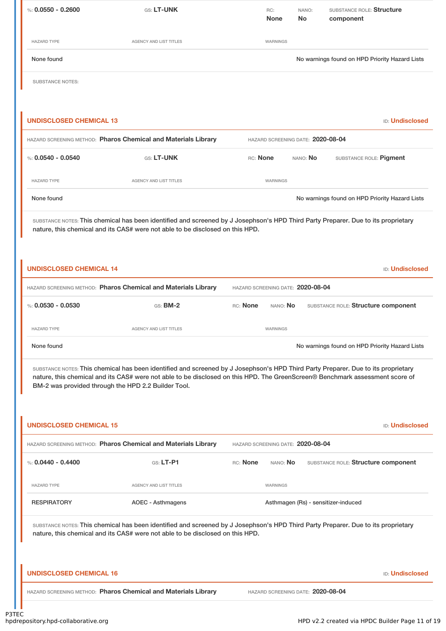| %: $0.0550 - 0.2600$    | GS: LT-UNK             | RC:<br><b>None</b> | NANO:<br><b>No</b> | SUBSTANCE ROLE: Structure<br>component         |
|-------------------------|------------------------|--------------------|--------------------|------------------------------------------------|
| <b>HAZARD TYPE</b>      | AGENCY AND LIST TITLES | WARNINGS           |                    |                                                |
| None found              |                        |                    |                    | No warnings found on HPD Priority Hazard Lists |
| <b>SUBSTANCE NOTES:</b> |                        |                    |                    |                                                |

| UNDISCLOSED CHEMICAL 13<br><b>ID:</b> Undisclosed              |                                   |                 |                 |                                                |
|----------------------------------------------------------------|-----------------------------------|-----------------|-----------------|------------------------------------------------|
| HAZARD SCREENING METHOD: Pharos Chemical and Materials Library | HAZARD SCREENING DATE: 2020-08-04 |                 |                 |                                                |
| %: 0.0540 - 0.0540                                             | <b>GS: LT-UNK</b>                 | <b>RC:</b> None | NANO: <b>No</b> | SUBSTANCE ROLE: Pigment                        |
| <b>HAZARD TYPE</b>                                             | AGENCY AND LIST TITLES            | <b>WARNINGS</b> |                 |                                                |
| None found                                                     |                                   |                 |                 | No warnings found on HPD Priority Hazard Lists |

| <b>UNDISCLOSED CHEMICAL 14</b>                                 |                        |                                   |                 | <b>ID:</b> Undisclosed                         |
|----------------------------------------------------------------|------------------------|-----------------------------------|-----------------|------------------------------------------------|
| HAZARD SCREENING METHOD: Pharos Chemical and Materials Library |                        | HAZARD SCREENING DATE: 2020-08-04 |                 |                                                |
| %: 0.0530 - 0.0530                                             | $GS:$ BM-2             | RC: None                          | NANO: <b>No</b> | SUBSTANCE ROLE: Structure component            |
| <b>HAZARD TYPE</b>                                             | AGENCY AND LIST TITLES |                                   | <b>WARNINGS</b> |                                                |
| None found                                                     |                        |                                   |                 | No warnings found on HPD Priority Hazard Lists |

SUBSTANCE NOTES: This chemical has been identified and screened by J Josephson's HPD Third Party Preparer. Due to its proprietary nature, this chemical and its CAS# were not able to be disclosed on this HPD. The GreenScreen® Benchmark assessment score of BM-2 was provided through the HPD 2.2 Builder Tool.

| <b>UNDISCLOSED CHEMICAL 15</b>                                                                                                                                                                                     |                                                                |          |                 | <b>ID: Undisclosed</b>              |
|--------------------------------------------------------------------------------------------------------------------------------------------------------------------------------------------------------------------|----------------------------------------------------------------|----------|-----------------|-------------------------------------|
| HAZARD SCREENING METHOD: Pharos Chemical and Materials Library                                                                                                                                                     | HAZARD SCREENING DATE: 2020-08-04                              |          |                 |                                     |
| %: $0.0440 - 0.4400$                                                                                                                                                                                               | $G.S.$ LT-P1                                                   | RC: None | nano: <b>No</b> | SUBSTANCE ROLE: Structure component |
| <b>HAZARD TYPE</b>                                                                                                                                                                                                 | <b>AGENCY AND LIST TITLES</b>                                  |          | WARNINGS        |                                     |
| <b>RESPIRATORY</b>                                                                                                                                                                                                 | AOEC - Asthmagens                                              |          |                 | Asthmagen (Rs) - sensitizer-induced |
| SUBSTANCE NOTES: This chemical has been identified and screened by J Josephson's HPD Third Party Preparer. Due to its proprietary<br>nature, this chemical and its CAS# were not able to be disclosed on this HPD. |                                                                |          |                 |                                     |
| <b>UNDISCLOSED CHEMICAL 16</b>                                                                                                                                                                                     |                                                                |          |                 | <b>ID: Undisclosed</b>              |
|                                                                                                                                                                                                                    | HAZARD SCREENING METHOD: Pharos Chemical and Materials Library |          |                 | HAZARD SCREENING DATE: 2020-08-04   |
|                                                                                                                                                                                                                    |                                                                |          |                 |                                     |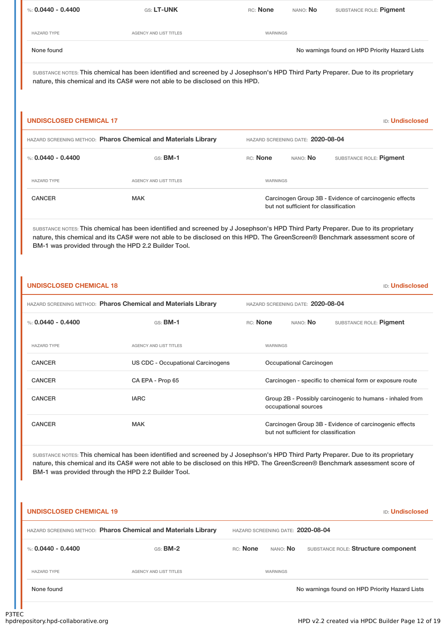| %: 0.0440 - 0.4400 | <b>GS: LT-UNK</b>      | RC: None | NANO: No | SUBSTANCE ROLE: Pigment                        |
|--------------------|------------------------|----------|----------|------------------------------------------------|
| <b>HAZARD TYPE</b> | AGENCY AND LIST TITLES | WARNINGS |          |                                                |
| None found         |                        |          |          | No warnings found on HPD Priority Hazard Lists |

### **UNDISCLOSED CHEMICAL 17** ID: **Undisclosed**

| HAZARD SCREENING METHOD: Pharos Chemical and Materials Library |                               | HAZARD SCREENING DATE: 2020-08-04                                                               |          |                         |  |
|----------------------------------------------------------------|-------------------------------|-------------------------------------------------------------------------------------------------|----------|-------------------------|--|
| %: 0.0440 - 0.4400                                             | $GS:$ BM-1                    | RC: None                                                                                        | NANO: No | SUBSTANCE ROLE: Pigment |  |
| <b>HAZARD TYPE</b>                                             | <b>AGENCY AND LIST TITLES</b> | WARNINGS                                                                                        |          |                         |  |
| <b>CANCER</b>                                                  | <b>MAK</b>                    | Carcinogen Group 3B - Evidence of carcinogenic effects<br>but not sufficient for classification |          |                         |  |

SUBSTANCE NOTES: This chemical has been identified and screened by J Josephson's HPD Third Party Preparer. Due to its proprietary nature, this chemical and its CAS# were not able to be disclosed on this HPD. The GreenScreen® Benchmark assessment score of BM-1 was provided through the HPD 2.2 Builder Tool.

# **UNDISCLOSED CHEMICAL 18** ID: **Undisclosed** HAZARD SCREENING METHOD: **Pharos Chemical and Materials Library** HAZARD SCREENING DATE: **2020-08-04** %: **0.0440 - 0.4400** GS: **BM-1** RC: **None** NANO: **No** SUBSTANCE ROLE: **Pigment** HAZARD TYPE THE RESERVED ON A SERVEY AND LIST TITLES THE RESERVED ON A MARNINGS CANCER US CDC - Occupational Carcinogens Occupational Carcinogen CANCER CA EPA - Prop 65 Carcinogen - specific to chemical form or exposure route CANCER **IARC** IARC **GROUP 2B - Possibly carcinogenic to humans - inhaled from** occupational sources CANCER MAK MAK Carcinogen Group 3B - Evidence of carcinogenic effects but not sufficient for classification

SUBSTANCE NOTES: This chemical has been identified and screened by J Josephson's HPD Third Party Preparer. Due to its proprietary nature, this chemical and its CAS# were not able to be disclosed on this HPD. The GreenScreen® Benchmark assessment score of BM-1 was provided through the HPD 2.2 Builder Tool.

# **UNDISCLOSED CHEMICAL 19** ID: **Undisclosed** HAZARD SCREENING METHOD: **Pharos Chemical and Materials Library** HAZARD SCREENING DATE: **2020-08-04** %: **0.0440 - 0.4400** GS: **BM-2** RC: **None** NANO: **No** SUBSTANCE ROLE: **Structure component** HAZARD TYPE **AGENCY AND LIST TITLES AGENCY AND LIST TITLES** None found Now are found to the Second Department on the North Control on HPD Priority Hazard Lists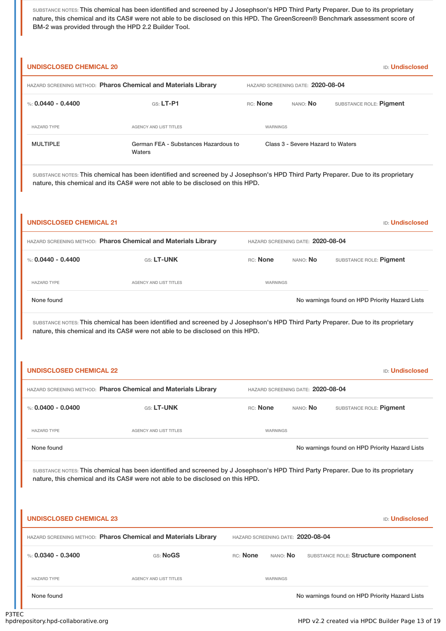SUBSTANCE NOTES: This chemical has been identified and screened by J Josephson's HPD Third Party Preparer. Due to its proprietary nature, this chemical and its CAS# were not able to be disclosed on this HPD. The GreenScreen® Benchmark assessment score of BM-2 was provided through the HPD 2.2 Builder Tool.

| <b>UNDISCLOSED CHEMICAL 20</b><br><b>ID:</b> Undisclosed       |                                                |                                   |          |                                   |                         |
|----------------------------------------------------------------|------------------------------------------------|-----------------------------------|----------|-----------------------------------|-------------------------|
| HAZARD SCREENING METHOD: Pharos Chemical and Materials Library |                                                | HAZARD SCREENING DATE: 2020-08-04 |          |                                   |                         |
| %: 0.0440 - 0.4400                                             | $G.S.$ LT-P1                                   | RC: None                          |          | NANO: No                          | SUBSTANCE ROLE: Pigment |
| <b>HAZARD TYPE</b>                                             | <b>AGENCY AND LIST TITLES</b>                  |                                   | WARNINGS |                                   |                         |
| <b>MULTIPLE</b>                                                | German FEA - Substances Hazardous to<br>Waters |                                   |          | Class 3 - Severe Hazard to Waters |                         |

SUBSTANCE NOTES: This chemical has been identified and screened by J Josephson's HPD Third Party Preparer. Due to its proprietary nature, this chemical and its CAS# were not able to be disclosed on this HPD.

| <b>UNDISCLOSED CHEMICAL 21</b>                                 |                                                                                                                                                                                                                    |                                   |                                   | <b>ID: Undisclosed</b>                         |  |
|----------------------------------------------------------------|--------------------------------------------------------------------------------------------------------------------------------------------------------------------------------------------------------------------|-----------------------------------|-----------------------------------|------------------------------------------------|--|
| HAZARD SCREENING METHOD: Pharos Chemical and Materials Library |                                                                                                                                                                                                                    | HAZARD SCREENING DATE: 2020-08-04 |                                   |                                                |  |
| %: $0.0440 - 0.4400$                                           | GS: LT-UNK                                                                                                                                                                                                         | RC: None                          | NANO: No                          | SUBSTANCE ROLE: Pigment                        |  |
| <b>HAZARD TYPE</b>                                             | <b>AGENCY AND LIST TITLES</b>                                                                                                                                                                                      | WARNINGS                          |                                   |                                                |  |
| None found                                                     |                                                                                                                                                                                                                    |                                   |                                   | No warnings found on HPD Priority Hazard Lists |  |
|                                                                | SUBSTANCE NOTES: This chemical has been identified and screened by J Josephson's HPD Third Party Preparer. Due to its proprietary<br>nature, this chemical and its CAS# were not able to be disclosed on this HPD. |                                   |                                   |                                                |  |
| <b>UNDISCLOSED CHEMICAL 22</b>                                 |                                                                                                                                                                                                                    |                                   |                                   | <b>ID: Undisclosed</b>                         |  |
|                                                                | HAZARD SCREENING METHOD: Pharos Chemical and Materials Library                                                                                                                                                     |                                   | HAZARD SCREENING DATE: 2020-08-04 |                                                |  |
| %: $0.0400 - 0.0400$                                           | GS: LT-UNK                                                                                                                                                                                                         | RC: None                          | NANO: No                          | SUBSTANCE ROLE: Pigment                        |  |
| <b>HAZARD TYPE</b>                                             | <b>AGENCY AND LIST TITLES</b>                                                                                                                                                                                      | WARNINGS                          |                                   |                                                |  |
| None found                                                     |                                                                                                                                                                                                                    |                                   |                                   | No warnings found on HPD Priority Hazard Lists |  |
|                                                                | SUBSTANCE NOTES: This chemical has been identified and screened by J Josephson's HPD Third Party Preparer. Due to its proprietary<br>nature, this chemical and its CAS# were not able to be disclosed on this HPD. |                                   |                                   |                                                |  |
| <b>UNDISCLOSED CHEMICAL 23</b>                                 |                                                                                                                                                                                                                    |                                   |                                   | <b>ID: Undisclosed</b>                         |  |
|                                                                | HAZARD SCREENING METHOD: Pharos Chemical and Materials Library                                                                                                                                                     | HAZARD SCREENING DATE: 2020-08-04 |                                   |                                                |  |
| %: $0.0340 - 0.3400$                                           | GS: NoGS                                                                                                                                                                                                           | <b>RC:</b> None<br>NANO: No       |                                   | SUBSTANCE ROLE: Structure component            |  |

HAZARD TYPE **AGENCY AND LIST TITLES AGENCY AND LIST TITLES** 

None found Nowarnings found on HPD Priority Hazard Lists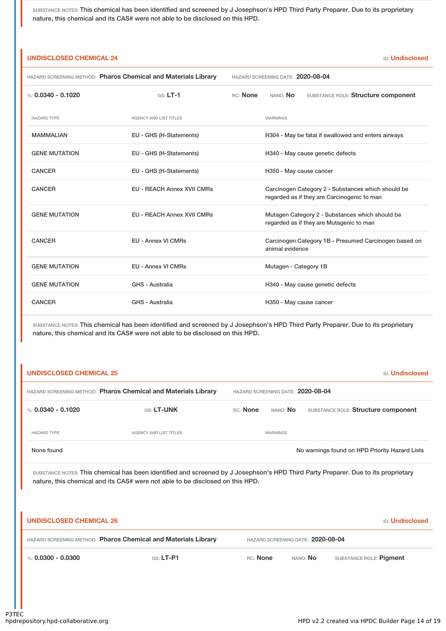| <b>UNDISCLOSED CHEMICAL 24</b><br><b>ID: Undisclosed</b>       |                                   |                                   |                                                                                                   |  |
|----------------------------------------------------------------|-----------------------------------|-----------------------------------|---------------------------------------------------------------------------------------------------|--|
| HAZARD SCREENING METHOD: Pharos Chemical and Materials Library |                                   | HAZARD SCREENING DATE: 2020-08-04 |                                                                                                   |  |
| %: $0.0340 - 0.1020$                                           | $GS: LT-1$                        | RC: None                          | NANO: No<br>SUBSTANCE ROLE: Structure component                                                   |  |
| <b>HAZARD TYPE</b>                                             | <b>AGENCY AND LIST TITLES</b>     |                                   | WARNINGS                                                                                          |  |
| <b>MAMMALIAN</b>                                               | EU - GHS (H-Statements)           |                                   | H304 - May be fatal if swallowed and enters airways                                               |  |
| <b>GENE MUTATION</b>                                           | EU - GHS (H-Statements)           |                                   | H340 - May cause genetic defects                                                                  |  |
| <b>CANCER</b>                                                  | EU - GHS (H-Statements)           |                                   | H350 - May cause cancer                                                                           |  |
| <b>CANCER</b>                                                  | <b>EU - REACH Annex XVII CMRs</b> |                                   | Carcinogen Category 2 - Substances which should be<br>regarded as if they are Carcinogenic to man |  |
| <b>GENE MUTATION</b>                                           | <b>EU - REACH Annex XVII CMRs</b> |                                   | Mutagen Category 2 - Substances which should be<br>regarded as if they are Mutagenic to man       |  |
| <b>CANCER</b>                                                  | <b>EU - Annex VI CMRs</b>         |                                   | Carcinogen Category 1B - Presumed Carcinogen based on<br>animal evidence                          |  |
| <b>GENE MUTATION</b>                                           | <b>EU - Annex VI CMRs</b>         |                                   | Mutagen - Category 1B                                                                             |  |
| <b>GENE MUTATION</b>                                           | GHS - Australia                   |                                   | H340 - May cause genetic defects                                                                  |  |
| <b>CANCER</b>                                                  | GHS - Australia                   |                                   | H350 - May cause cancer                                                                           |  |

SUBSTANCE NOTES: This chemical has been identified and screened by J Josephson's HPD Third Party Preparer. Due to its proprietary nature, this chemical and its CAS# were not able to be disclosed on this HPD.

| <b>UNDISCLOSED CHEMICAL 25</b>                                 |                                   |          |                 | <b>ID:</b> Undisclosed                         |
|----------------------------------------------------------------|-----------------------------------|----------|-----------------|------------------------------------------------|
| HAZARD SCREENING METHOD: Pharos Chemical and Materials Library | HAZARD SCREENING DATE: 2020-08-04 |          |                 |                                                |
| %: 0.0340 - 0.1020                                             | <b>GS: LT-UNK</b>                 | RC: None | NANO: <b>No</b> | SUBSTANCE ROLE: Structure component            |
| <b>HAZARD TYPE</b>                                             | AGENCY AND LIST TITLES            |          | <b>WARNINGS</b> |                                                |
| None found                                                     |                                   |          |                 | No warnings found on HPD Priority Hazard Lists |

| <b>UNDISCLOSED CHEMICAL 26</b>                                 |             |                                   |                 | <b>ID:</b> Undisclosed  |
|----------------------------------------------------------------|-------------|-----------------------------------|-----------------|-------------------------|
| HAZARD SCREENING METHOD: Pharos Chemical and Materials Library |             | HAZARD SCREENING DATE: 2020-08-04 |                 |                         |
| %: 0.0300 - 0.0300                                             | $GS: LT-PI$ | RC: None                          | NANO: <b>No</b> | SUBSTANCE ROLE: Pigment |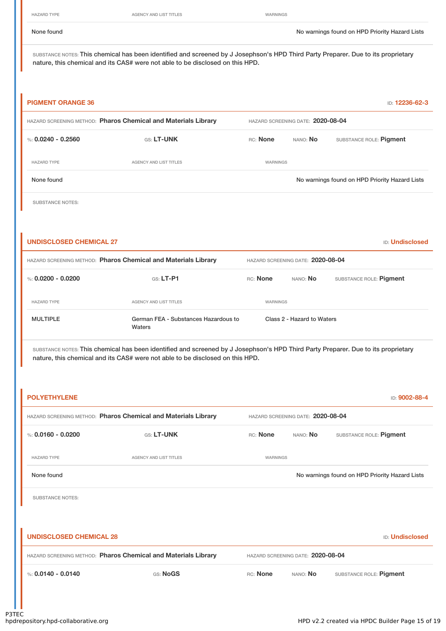HAZARD TYPE **AGENCY AND LIST TITLES** WARNINGS

None found Nowarnings found on HPD Priority Hazard Lists

SUBSTANCE NOTES: This chemical has been identified and screened by J Josephson's HPD Third Party Preparer. Due to its proprietary nature, this chemical and its CAS# were not able to be disclosed on this HPD.

| <b>PIGMENT ORANGE 36</b>         |                                                                |                                   |          | ID: 12236-62-3                                 |  |
|----------------------------------|----------------------------------------------------------------|-----------------------------------|----------|------------------------------------------------|--|
|                                  | HAZARD SCREENING METHOD: Pharos Chemical and Materials Library | HAZARD SCREENING DATE: 2020-08-04 |          |                                                |  |
| %: $0.0240 - 0.2560$             | GS: LT-UNK                                                     | RC: None                          | NANO: No | SUBSTANCE ROLE: Pigment                        |  |
| <b>HAZARD TYPE</b><br>None found | AGENCY AND LIST TITLES                                         | <b>WARNINGS</b>                   |          | No warnings found on HPD Priority Hazard Lists |  |
|                                  |                                                                |                                   |          |                                                |  |
| <b>SUBSTANCE NOTES:</b>          |                                                                |                                   |          |                                                |  |

| <b>UNDISCLOSED CHEMICAL 27</b><br><b>ID: Undisclosed</b>       |                                                |                 |                                   |                            |                         |  |
|----------------------------------------------------------------|------------------------------------------------|-----------------|-----------------------------------|----------------------------|-------------------------|--|
| HAZARD SCREENING METHOD: Pharos Chemical and Materials Library |                                                |                 | HAZARD SCREENING DATE: 2020-08-04 |                            |                         |  |
| %: $0.0200 - 0.0200$                                           | $G.S.$ LT-P1                                   | <b>RC:</b> None |                                   | NANO: No                   | SUBSTANCE ROLE: Pigment |  |
| <b>HAZARD TYPE</b>                                             | AGENCY AND LIST TITLES                         |                 | WARNINGS                          |                            |                         |  |
| <b>MULTIPLE</b>                                                | German FEA - Substances Hazardous to<br>Waters |                 |                                   | Class 2 - Hazard to Waters |                         |  |

| <b>POLYETHYLENE</b>            |                                                                |          |                                   | ID: 9002-88-4                                  |
|--------------------------------|----------------------------------------------------------------|----------|-----------------------------------|------------------------------------------------|
|                                | HAZARD SCREENING METHOD: Pharos Chemical and Materials Library |          | HAZARD SCREENING DATE: 2020-08-04 |                                                |
| %: $0.0160 - 0.0200$           | GS: LT-UNK                                                     | RC: None | NANO: No                          | SUBSTANCE ROLE: Pigment                        |
| <b>HAZARD TYPE</b>             | <b>AGENCY AND LIST TITLES</b>                                  | WARNINGS |                                   |                                                |
| None found                     |                                                                |          |                                   | No warnings found on HPD Priority Hazard Lists |
| <b>SUBSTANCE NOTES:</b>        |                                                                |          |                                   |                                                |
|                                |                                                                |          |                                   |                                                |
| <b>UNDISCLOSED CHEMICAL 28</b> |                                                                |          |                                   | <b>ID: Undisclosed</b>                         |
|                                | HAZARD SCREENING METHOD: Pharos Chemical and Materials Library |          | HAZARD SCREENING DATE: 2020-08-04 |                                                |
| %: $0.0140 - 0.0140$           | GS: NoGS                                                       | RC: None | NANO: No                          | SUBSTANCE ROLE: Pigment                        |
|                                |                                                                |          |                                   |                                                |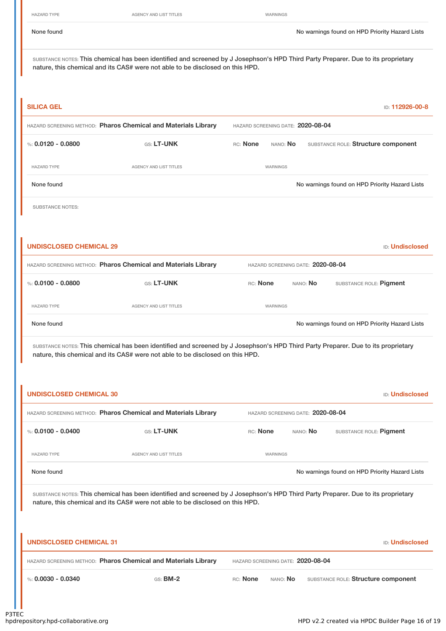None found Nowarnings found on HPD Priority Hazard Lists

SUBSTANCE NOTES: This chemical has been identified and screened by J Josephson's HPD Third Party Preparer. Due to its proprietary nature, this chemical and its CAS# were not able to be disclosed on this HPD.

| <b>SILICA GEL</b>                                              |                                   |          |          | ID: 112926-00-8                                |
|----------------------------------------------------------------|-----------------------------------|----------|----------|------------------------------------------------|
| HAZARD SCREENING METHOD: Pharos Chemical and Materials Library | HAZARD SCREENING DATE: 2020-08-04 |          |          |                                                |
| %: $0.0120 - 0.0800$                                           | <b>GS: LT-UNK</b>                 | RC: None | NANO: No | SUBSTANCE ROLE: Structure component            |
| <b>HAZARD TYPE</b>                                             | AGENCY AND LIST TITLES            |          | WARNINGS |                                                |
| None found                                                     |                                   |          |          | No warnings found on HPD Priority Hazard Lists |
|                                                                |                                   |          |          |                                                |

SUBSTANCE NOTES:

| UNDISCLOSED CHEMICAL 29<br><b>ID:</b> Undisclosed              |                                   |                 |          |                                                |
|----------------------------------------------------------------|-----------------------------------|-----------------|----------|------------------------------------------------|
| HAZARD SCREENING METHOD: Pharos Chemical and Materials Library | HAZARD SCREENING DATE: 2020-08-04 |                 |          |                                                |
| %: $0.0100 - 0.0800$                                           | <b>GS: LT-UNK</b>                 | <b>RC:</b> None | NANO: NO | SUBSTANCE ROLE: Pigment                        |
| <b>HAZARD TYPE</b>                                             | AGENCY AND LIST TITLES            | WARNINGS        |          |                                                |
| None found                                                     |                                   |                 |          | No warnings found on HPD Priority Hazard Lists |

| <b>UNDISCLOSED CHEMICAL 30</b> |                                                                                                                                                                                                                    |                                   |                                   | <b>ID: Undisclosed</b>                         |
|--------------------------------|--------------------------------------------------------------------------------------------------------------------------------------------------------------------------------------------------------------------|-----------------------------------|-----------------------------------|------------------------------------------------|
|                                | HAZARD SCREENING METHOD: Pharos Chemical and Materials Library                                                                                                                                                     |                                   | HAZARD SCREENING DATE: 2020-08-04 |                                                |
| %: $0.0100 - 0.0400$           | GS: LT-UNK                                                                                                                                                                                                         | RC: None                          | NANO: No                          | SUBSTANCE ROLE: Pigment                        |
| <b>HAZARD TYPE</b>             | <b>AGENCY AND LIST TITLES</b>                                                                                                                                                                                      | WARNINGS                          |                                   |                                                |
| None found                     |                                                                                                                                                                                                                    |                                   |                                   | No warnings found on HPD Priority Hazard Lists |
|                                | SUBSTANCE NOTES: This chemical has been identified and screened by J Josephson's HPD Third Party Preparer. Due to its proprietary<br>nature, this chemical and its CAS# were not able to be disclosed on this HPD. |                                   |                                   |                                                |
| <b>UNDISCLOSED CHEMICAL 31</b> |                                                                                                                                                                                                                    |                                   |                                   | <b>ID: Undisclosed</b>                         |
|                                | HAZARD SCREENING METHOD: Pharos Chemical and Materials Library                                                                                                                                                     | HAZARD SCREENING DATE: 2020-08-04 |                                   |                                                |
| %: $0.0030 - 0.0340$           | $GS:$ BM-2                                                                                                                                                                                                         | RC: None<br>NANO: No              |                                   | SUBSTANCE ROLE: Structure component            |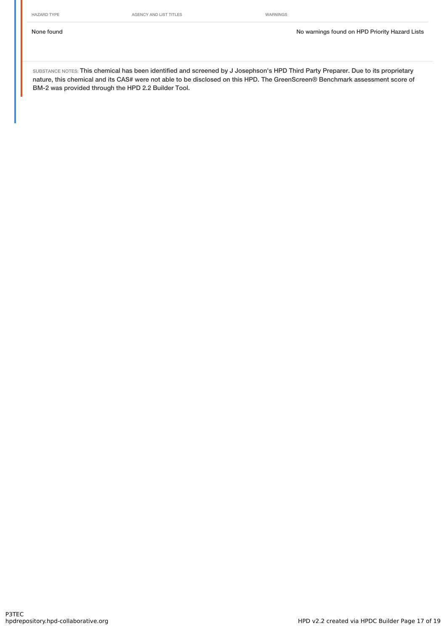HAZARD TYPE **AGENCY AND LIST TITLES** WARNINGS

SUBSTANCE NOTES: This chemical has been identified and screened by J Josephson's HPD Third Party Preparer. Due to its proprietary nature, this chemical and its CAS# were not able to be disclosed on this HPD. The GreenScreen® Benchmark assessment score of BM-2 was provided through the HPD 2.2 Builder Tool.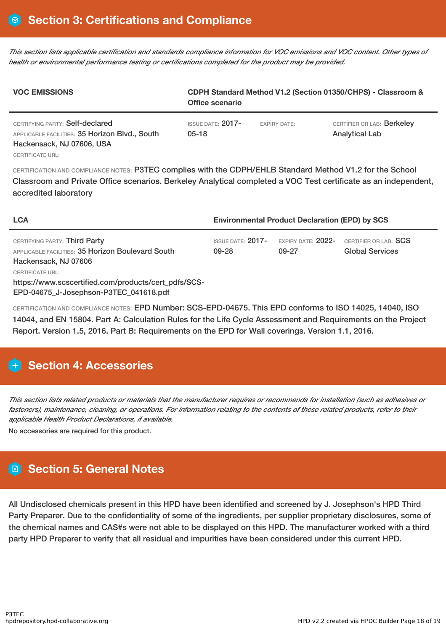This section lists applicable certification and standards compliance information for VOC emissions and VOC content. Other types of *health or environmental performance testing or certifications completed for the product may be provided.*

| <b>VOC EMISSIONS</b>                                                                                           | CDPH Standard Method V1.2 (Section 01350/CHPS) - Classroom &<br>Office scenario |                     |                                                     |  |  |
|----------------------------------------------------------------------------------------------------------------|---------------------------------------------------------------------------------|---------------------|-----------------------------------------------------|--|--|
| CERTIFYING PARTY: Self-declared<br>APPLICABLE FACILITIES: 35 Horizon Blvd., South<br>Hackensack, NJ 07606, USA | <b>ISSUE DATE: 2017-</b><br>$05-18$                                             | <b>EXPIRY DATE:</b> | CERTIFIER OR LAB: Berkeley<br><b>Analytical Lab</b> |  |  |

CERTIFICATE URL:

CERTIFICATION AND COMPLIANCE NOTES: P3TEC complies with the CDPH/EHLB Standard Method V1.2 for the School Classroom and Private Office scenarios. Berkeley Analytical completed a VOC Test certificate as an independent, accredited laboratory

| <b>LCA</b>                                                                                                         | <b>Environmental Product Declaration (EPD) by SCS</b> |                                  |                                                 |  |
|--------------------------------------------------------------------------------------------------------------------|-------------------------------------------------------|----------------------------------|-------------------------------------------------|--|
| CERTIFYING PARTY: Third Party<br>APPLICABLE FACILITIES: 35 Horizon Boulevard South<br>Hackensack, NJ 07606         | ISSUE DATE: $2017-$<br>09-28                          | expiry date: $2022$ -<br>$09-27$ | CERTIFIER OR LAB: SCS<br><b>Global Services</b> |  |
| CERTIFICATE URL:<br>https://www.scscertified.com/products/cert_pdfs/SCS-<br>EPD-04675 J-Josephson-P3TEC 041618.pdf |                                                       |                                  |                                                 |  |

CERTIFICATION AND COMPLIANCE NOTES: EPD Number: SCS-EPD-04675. This EPD conforms to ISO 14025, 14040, ISO 14044, and EN 15804. Part A: Calculation Rules for the Life Cycle Assessment and Requirements on the Project Report. Version 1.5, 2016. Part B: Requirements on the EPD for Wall coverings. Version 1.1, 2016.

# **H** Section 4: Accessories

This section lists related products or materials that the manufacturer requires or recommends for installation (such as adhesives or fasteners), maintenance, cleaning, or operations. For information relating to the contents of these related products, refer to their *applicable Health Product Declarations, if available.*

No accessories are required for this product.

# **Section 5: General Notes**

All Undisclosed chemicals present in this HPD have been identified and screened by J. Josephson's HPD Third Party Preparer. Due to the confidentiality of some of the ingredients, per supplier proprietary disclosures, some of the chemical names and CAS#s were not able to be displayed on this HPD. The manufacturer worked with a third party HPD Preparer to verify that all residual and impurities have been considered under this current HPD.